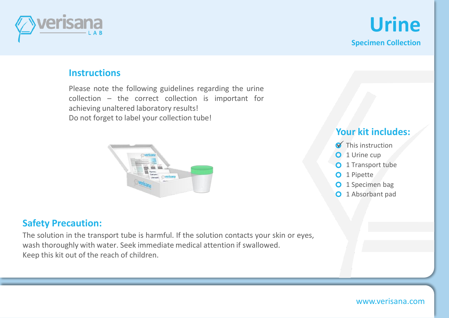

**Urine Specimen Collection**

### **Instructions**

Please note the following guidelines regarding the urine collection – the correct collection is important for achieving unaltered laboratory results! Do not forget to label your collection tube!



## **Safety Precaution:**

The solution in the transport tube is harmful. If the solution contacts your skin or eyes, wash thoroughly with water. Seek immediate medical attention if swallowed. Keep this kit out of the reach of children.

# **Your kit includes:**

- $\blacktriangledown$  This instruction
- O 1 Urine cup
- **O** 1 Transport tube
- O 1 Pipette
- O 1 Specimen bag
- **O** 1 Absorbant pad

### www.verisana.com